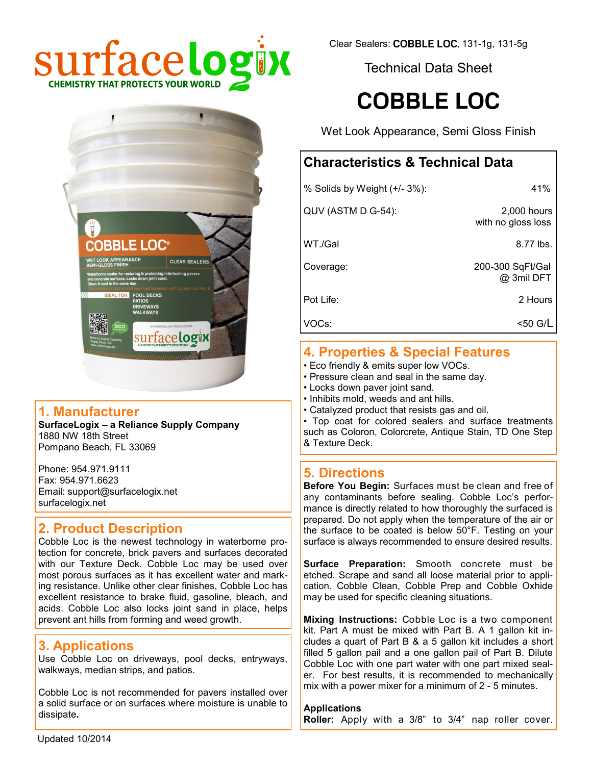

Technical Data Sheet

# **COBBLE LOC**

Wet Look Appearance, Semi Gloss Finish

## **Characteristics & Technical Data**

| % Solids by Weight (+/- 3%): | 41%                               |
|------------------------------|-----------------------------------|
| QUV (ASTM D G-54):           | 2,000 hours<br>with no gloss loss |
| WT./Gal                      | 8.77 lbs.                         |
| Coverage:                    | 200-300 SqFt/Gal<br>@ 3mil DFT    |
| Pot Life:                    | 2 Hours                           |
| VOCs:                        | $<$ 50 G/L                        |
|                              |                                   |

#### **4. Properties & Special Features**

- Eco friendly & emits super low VOCs.
- Pressure clean and seal in the same day.
- Locks down paver joint sand.
- Inhibits mold, weeds and ant hills.
- Catalyzed product that resists gas and oil.

• Top coat for colored sealers and surface treatments such as Coloron, Colorcrete, Antique Stain, TD One Step & Texture Deck.

### **5. Directions**

**Before You Begin:** Surfaces must be clean and free of any contaminants before sealing. Cobble Loc's performance is directly related to how thoroughly the surfaced is prepared. Do not apply when the temperature of the air or the surface to be coated is below 50°F. Testing on your surface is always recommended to ensure desired results.

**Surface Preparation:** Smooth concrete must be etched. Scrape and sand all loose material prior to application. Cobble Clean, Cobble Prep and Cobble Oxhide may be used for specific cleaning situations.

**Mixing Instructions:** Cobble Loc is a two component kit. Part A must be mixed with Part B. A 1 gallon kit includes a quart of Part B & a 5 gallon kit includes a short filled 5 gallon pail and a one gallon pail of Part B. Dilute Cobble Loc with one part water with one part mixed sealer. For best results, it is recommended to mechanically mix with a power mixer for a minimum of 2 - 5 minutes.

#### **Applications**

**Roller:** Apply with a 3/8" to 3/4" nap roller cover.



## **1. Manufacturer**

**SurfaceLogix – a Reliance Supply Company** 1880 NW 18th Street Pompano Beach, FL 33069

Phone: 954.971.9111 Fax: 954.971.6623 Email: support@surfacelogix.net surfacelogix.net

### **2. Product Description**

Cobble Loc is the newest technology in waterborne protection for concrete, brick pavers and surfaces decorated with our Texture Deck. Cobble Loc may be used over most porous surfaces as it has excellent water and marking resistance. Unlike other clear finishes, Cobble Loc has excellent resistance to brake fluid, gasoline, bleach, and acids. Cobble Loc also locks joint sand in place, helps prevent ant hills from forming and weed growth.

## **3. Applications**

Use Cobble Loc on driveways, pool decks, entryways, walkways, median strips, and patios.

Cobble Loc is not recommended for pavers installed over a solid surface or on surfaces where moisture is unable to dissipate**.**